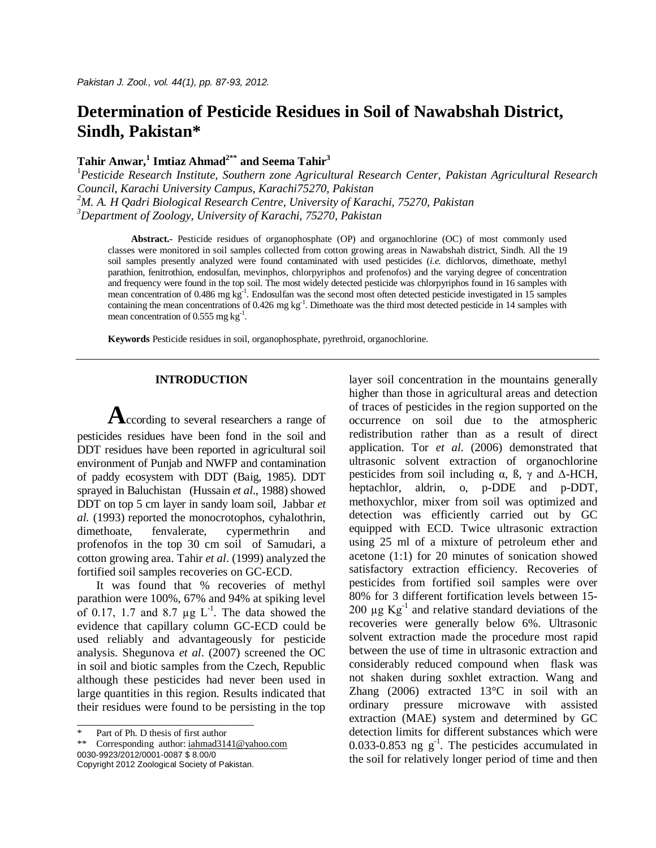# **Determination of Pesticide Residues in Soil of Nawabshah District, Sindh, Pakistan\***

# **Tahir Anwar, 1 Imtiaz Ahmad2\*\* and Seema Tahir<sup>3</sup>**

*Pesticide Research Institute, Southern zone Agricultural Research Center, Pakistan Agricultural Research Council, Karachi University Campus, Karachi75270, Pakistan M. A. H Qadri Biological Research Centre, University of Karachi, 75270, Pakistan Department of Zoology, University of Karachi, 75270, Pakistan* 

**Abstract.-** Pesticide residues of organophosphate (OP) and organochlorine (OC) of most commonly used classes were monitored in soil samples collected from cotton growing areas in Nawabshah district, Sindh. All the 19 soil samples presently analyzed were found contaminated with used pesticides (*i.e.* dichlorvos, dimethoate, methyl parathion, fenitrothion, endosulfan, mevinphos, chlorpyriphos and profenofos) and the varying degree of concentration and frequency were found in the top soil. The most widely detected pesticide was chlorpyriphos found in 16 samples with mean concentration of 0.486 mg  $kg^{-1}$ . Endosulfan was the second most often detected pesticide investigated in 15 samples containing the mean concentrations of 0.426 mg kg<sup>-1</sup>. Dimethoate was the third most detected pesticide in 14 samples with mean concentration of 0.555 mg  $kg^{-1}$ .

**Keywords** Pesticide residues in soil, organophosphate, pyrethroid, organochlorine.

# **INTRODUCTION**

**A**ccording to several researchers a range of pesticides residues have been fond in the soil and DDT residues have been reported in agricultural soil environment of Punjab and NWFP and contamination of paddy ecosystem with DDT (Baig, 1985). DDT sprayed in Baluchistan (Hussain *et al*., 1988) showed DDT on top 5 cm layer in sandy loam soil, Jabbar *et al.* (1993) reported the monocrotophos, cyhalothrin, dimethoate, fenvalerate, cypermethrin and profenofos in the top 30 cm soil of Samudari, a cotton growing area. Tahir *et al*. (1999) analyzed the fortified soil samples recoveries on GC-ECD.

It was found that % recoveries of methyl parathion were 100%, 67% and 94% at spiking level of 0.17, 1.7 and 8.7  $\mu$ g L<sup>-1</sup>. The data showed the evidence that capillary column GC-ECD could be used reliably and advantageously for pesticide analysis. Shegunova *et al*. (2007) screened the OC in soil and biotic samples from the Czech, Republic although these pesticides had never been used in large quantities in this region. Results indicated that their residues were found to be persisting in the top

\_\_\_\_\_\_\_\_\_\_\_\_\_\_\_\_\_\_\_\_\_\_\_\_\_\_\_\_\_\_

\*\* Corresponding author: iahmad3141@yahoo.com 0030-9923/2012/0001-0087 \$ 8.00/0 Copyright 2012 Zoological Society of Pakistan.

layer soil concentration in the mountains generally higher than those in agricultural areas and detection of traces of pesticides in the region supported on the occurrence on soil due to the atmospheric redistribution rather than as a result of direct application. Tor *et al*. (2006) demonstrated that ultrasonic solvent extraction of organochlorine pesticides from soil including α, ß, γ and Δ-HCH, heptachlor, aldrin, o, p-DDE and p-DDT, methoxychlor, mixer from soil was optimized and detection was efficiently carried out by GC equipped with ECD. Twice ultrasonic extraction using 25 ml of a mixture of petroleum ether and acetone (1:1) for 20 minutes of sonication showed satisfactory extraction efficiency. Recoveries of pesticides from fortified soil samples were over 80% for 3 different fortification levels between 15- 200  $\mu$ g  $Kg^{-1}$  and relative standard deviations of the recoveries were generally below 6%. Ultrasonic solvent extraction made the procedure most rapid between the use of time in ultrasonic extraction and considerably reduced compound when flask was not shaken during soxhlet extraction. Wang and Zhang (2006) extracted 13°C in soil with an ordinary pressure microwave with assisted extraction (MAE) system and determined by GC detection limits for different substances which were 0.033-0.853 ng  $g^{-1}$ . The pesticides accumulated in the soil for relatively longer period of time and then

Part of Ph. D thesis of first author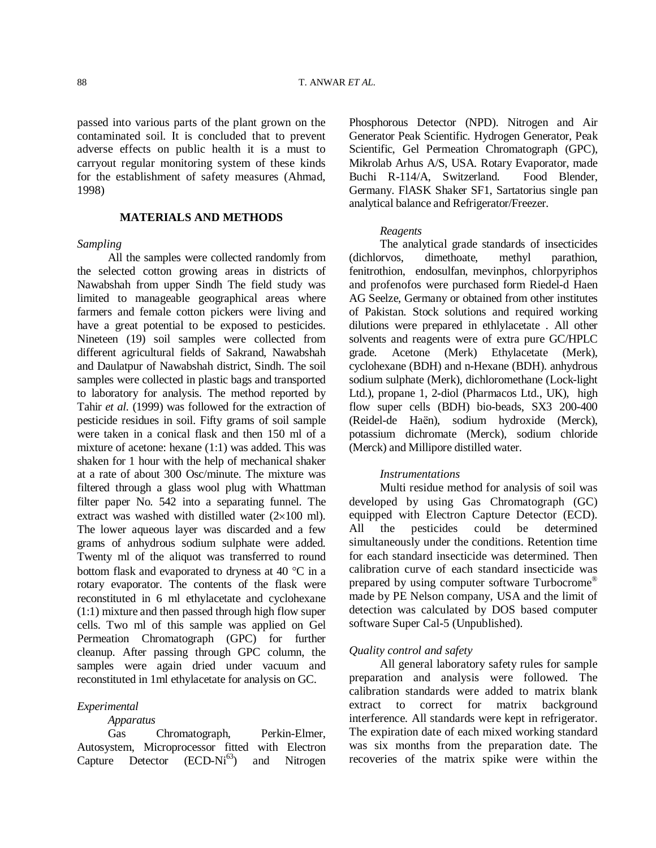passed into various parts of the plant grown on the contaminated soil. It is concluded that to prevent adverse effects on public health it is a must to carryout regular monitoring system of these kinds for the establishment of safety measures (Ahmad, 1998)

## **MATERIALS AND METHODS**

#### *Sampling*

All the samples were collected randomly from the selected cotton growing areas in districts of Nawabshah from upper Sindh The field study was limited to manageable geographical areas where farmers and female cotton pickers were living and have a great potential to be exposed to pesticides. Nineteen (19) soil samples were collected from different agricultural fields of Sakrand, Nawabshah and Daulatpur of Nawabshah district, Sindh. The soil samples were collected in plastic bags and transported to laboratory for analysis. The method reported by Tahir *et al*. (1999) was followed for the extraction of pesticide residues in soil. Fifty grams of soil sample were taken in a conical flask and then 150 ml of a mixture of acetone: hexane (1:1) was added. This was shaken for 1 hour with the help of mechanical shaker at a rate of about 300 Osc/minute. The mixture was filtered through a glass wool plug with Whattman filter paper No. 542 into a separating funnel. The extract was washed with distilled water  $(2\times100 \text{ ml})$ . The lower aqueous layer was discarded and a few grams of anhydrous sodium sulphate were added. Twenty ml of the aliquot was transferred to round bottom flask and evaporated to dryness at 40  $^{\circ}$ C in a rotary evaporator. The contents of the flask were reconstituted in 6 ml ethylacetate and cyclohexane (1:1) mixture and then passed through high flow super cells. Two ml of this sample was applied on Gel Permeation Chromatograph (GPC) for further cleanup. After passing through GPC column, the samples were again dried under vacuum and reconstituted in 1ml ethylacetate for analysis on GC.

#### *Experimental*

*Apparatus* 

Gas Chromatograph, Perkin-Elmer, Autosystem, Microprocessor fitted with Electron Capture Detector  $(ECD-Ni^{63})$  and Nitrogen Phosphorous Detector (NPD). Nitrogen and Air Generator Peak Scientific. Hydrogen Generator, Peak Scientific, Gel Permeation Chromatograph (GPC), Mikrolab Arhus A/S, USA. Rotary Evaporator, made Buchi R-114/A, Switzerland. Food Blender, Germany. FlASK Shaker SF1, Sartatorius single pan analytical balance and Refrigerator/Freezer.

#### *Reagents*

The analytical grade standards of insecticides (dichlorvos, dimethoate, methyl parathion, fenitrothion, endosulfan, mevinphos, chlorpyriphos and profenofos were purchased form Riedel-d Haen AG Seelze, Germany or obtained from other institutes of Pakistan. Stock solutions and required working dilutions were prepared in ethlylacetate . All other solvents and reagents were of extra pure GC/HPLC grade. Acetone (Merk) Ethylacetate (Merk), cyclohexane (BDH) and n-Hexane (BDH). anhydrous sodium sulphate (Merk), dichloromethane (Lock-light Ltd.), propane 1, 2-diol (Pharmacos Ltd., UK), high flow super cells (BDH) bio-beads, SX3 200-400 (Reidel-de Haёn), sodium hydroxide (Merck), potassium dichromate (Merck), sodium chloride (Merck) and Millipore distilled water.

#### *Instrumentations*

Multi residue method for analysis of soil was developed by using Gas Chromatograph (GC) equipped with Electron Capture Detector (ECD). All the pesticides could be determined simultaneously under the conditions. Retention time for each standard insecticide was determined. Then calibration curve of each standard insecticide was prepared by using computer software Turbocrome® made by PE Nelson company, USA and the limit of detection was calculated by DOS based computer software Super Cal-5 (Unpublished).

### *Quality control and safety*

All general laboratory safety rules for sample preparation and analysis were followed. The calibration standards were added to matrix blank extract to correct for matrix background interference. All standards were kept in refrigerator. The expiration date of each mixed working standard was six months from the preparation date. The recoveries of the matrix spike were within the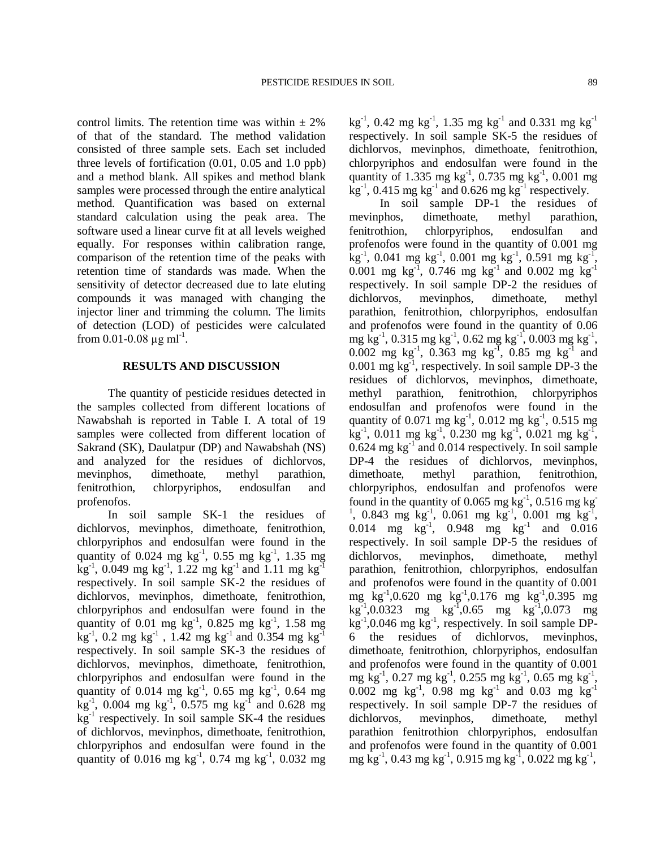control limits. The retention time was within  $\pm 2\%$ of that of the standard. The method validation consisted of three sample sets. Each set included three levels of fortification (0.01, 0.05 and 1.0 ppb) and a method blank. All spikes and method blank samples were processed through the entire analytical method. Quantification was based on external standard calculation using the peak area. The software used a linear curve fit at all levels weighed equally. For responses within calibration range, comparison of the retention time of the peaks with retention time of standards was made. When the sensitivity of detector decreased due to late eluting compounds it was managed with changing the injector liner and trimming the column. The limits of detection (LOD) of pesticides were calculated from 0.01-0.08  $\mu$ g ml<sup>-1</sup>.

## **RESULTS AND DISCUSSION**

The quantity of pesticide residues detected in the samples collected from different locations of Nawabshah is reported in Table I. A total of 19 samples were collected from different location of Sakrand (SK), Daulatpur (DP) and Nawabshah (NS) and analyzed for the residues of dichlorvos, mevinphos, dimethoate, methyl parathion, fenitrothion, chlorpyriphos, endosulfan and profenofos.

In soil sample SK-1 the residues of dichlorvos, mevinphos, dimethoate, fenitrothion, chlorpyriphos and endosulfan were found in the quantity of 0.024 mg  $kg^{-1}$ , 0.55 mg  $kg^{-1}$ , 1.35 mg  $\text{kg}^{-1}$ , 0.049 mg kg<sup>-1</sup>, 1.22 mg kg<sup>-1</sup> and 1.11 mg kg<sup>-1</sup> respectively. In soil sample SK-2 the residues of dichlorvos, mevinphos, dimethoate, fenitrothion, chlorpyriphos and endosulfan were found in the quantity of 0.01 mg  $kg^{-1}$ , 0.825 mg  $kg^{-1}$ , 1.58 mg  $\text{kg}^{-1}$ , 0.2 mg kg<sup>-1</sup> , 1.42 mg kg<sup>-1</sup> and 0.354 mg kg<sup>-1</sup> respectively. In soil sample SK-3 the residues of dichlorvos, mevinphos, dimethoate, fenitrothion, chlorpyriphos and endosulfan were found in the quantity of 0.014 mg  $kg^{-1}$ , 0.65 mg  $kg^{-1}$ , 0.64 mg  $\text{kg}^{-1}$ , 0.004 mg kg<sup>-1</sup>, 0.575 mg kg<sup>-1</sup> and 0.628 mg kg<sup>-1</sup> respectively. In soil sample SK-4 the residues of dichlorvos, mevinphos, dimethoate, fenitrothion, chlorpyriphos and endosulfan were found in the quantity of 0.016 mg  $\text{kg}^{-1}$ , 0.74 mg  $\text{kg}^{-1}$ , 0.032 mg

 $kg^{-1}$ , 0.42 mg kg<sup>-1</sup>, 1.35 mg kg<sup>-1</sup> and 0.331 mg kg<sup>-1</sup> respectively. In soil sample SK-5 the residues of dichlorvos, mevinphos, dimethoate, fenitrothion, chlorpyriphos and endosulfan were found in the quantity of 1.335 mg kg<sup>-1</sup>, 0.735 mg kg<sup>-1</sup>, 0.001 mg  $\text{kg}^{-1}$ , 0.415 mg kg<sup>-1</sup> and 0.626 mg kg<sup>-1</sup> respectively.

In soil sample DP-1 the residues of mevinphos, dimethoate, methyl parathion, fenitrothion, chlorpyriphos, endosulfan and profenofos were found in the quantity of 0.001 mg  $\text{kg}^{-1}$ , 0.041 mg kg<sup>-1</sup>, 0.001 mg kg<sup>-1</sup>, 0.591 mg kg<sup>-1</sup> , 0.001 mg kg<sup>-1</sup>, 0.746 mg kg<sup>-1</sup> and 0.002 mg kg<sup>-1</sup> respectively. In soil sample DP-2 the residues of dichlorvos, mevinphos, dimethoate, methyl parathion, fenitrothion, chlorpyriphos, endosulfan and profenofos were found in the quantity of 0.06 mg kg<sup>-1</sup>, 0.315 mg kg<sup>-1</sup>, 0.62 mg kg<sup>-1</sup>, 0.003 mg kg<sup>-1</sup>, 0.002 mg kg<sup>-1</sup>, 0.363 mg kg<sup>-1</sup>, 0.85 mg kg<sup>-1</sup> and  $0.001$  mg kg<sup>-1</sup>, respectively. In soil sample DP-3 the residues of dichlorvos, mevinphos, dimethoate, methyl parathion, fenitrothion, chlorpyriphos endosulfan and profenofos were found in the quantity of 0.071 mg  $kg^{-1}$ , 0.012 mg  $kg^{-1}$ , 0.515 mg  $\text{kg}^{-1}$ , 0.011 mg kg<sup>-1</sup>, 0.230 mg kg<sup>-1</sup>, 0.021 mg kg<sup>-1</sup>,  $0.624$  mg kg<sup>-1</sup> and  $0.014$  respectively. In soil sample DP-4 the residues of dichlorvos, mevinphos, dimethoate, methyl parathion, fenitrothion, chlorpyriphos, endosulfan and profenofos were found in the quantity of 0.065 mg  $\text{kg}^{-1}$ , 0.516 mg kg <sup>1</sup>, 0.843 mg kg<sup>-1</sup>, 0.061 mg kg<sup>-1</sup>, 0.001 mg kg<sup>-1</sup>, 0.014 mg  $\text{kg}^{-1}$ , 0.948 mg  $\text{kg}^{-1}$  and 0.016 respectively. In soil sample DP-5 the residues of dichlorvos, mevinphos, dimethoate, methyl parathion, fenitrothion, chlorpyriphos, endosulfan and profenofos were found in the quantity of 0.001 mg kg-1 ,0.620 mg kg-1 ,0.176 mg kg-1 ,0.395 mg  $\text{kg}^{-1}$ ,0.0323 mg kg<sup>-1</sup>,0.65 mg kg<sup>-1</sup>,0.073 mg kg<sup>-1</sup>,0.046 mg kg<sup>-1</sup>, respectively. In soil sample DP-6 the residues of dichlorvos, mevinphos, dimethoate, fenitrothion, chlorpyriphos, endosulfan and profenofos were found in the quantity of 0.001 mg kg<sup>-1</sup>, 0.27 mg kg<sup>-1</sup>, 0.255 mg kg<sup>-1</sup>, 0.65 mg kg<sup>-1</sup>, 0.002 mg kg<sup>-1</sup>, 0.98 mg kg<sup>-1</sup> and 0.03 mg kg<sup>-1</sup> respectively. In soil sample DP-7 the residues of dichlorvos, mevinphos, dimethoate, methyl parathion fenitrothion chlorpyriphos, endosulfan and profenofos were found in the quantity of 0.001 mg kg<sup>-1</sup>, 0.43 mg kg<sup>-1</sup>, 0.915 mg kg<sup>-1</sup>, 0.022 mg kg<sup>-1</sup>,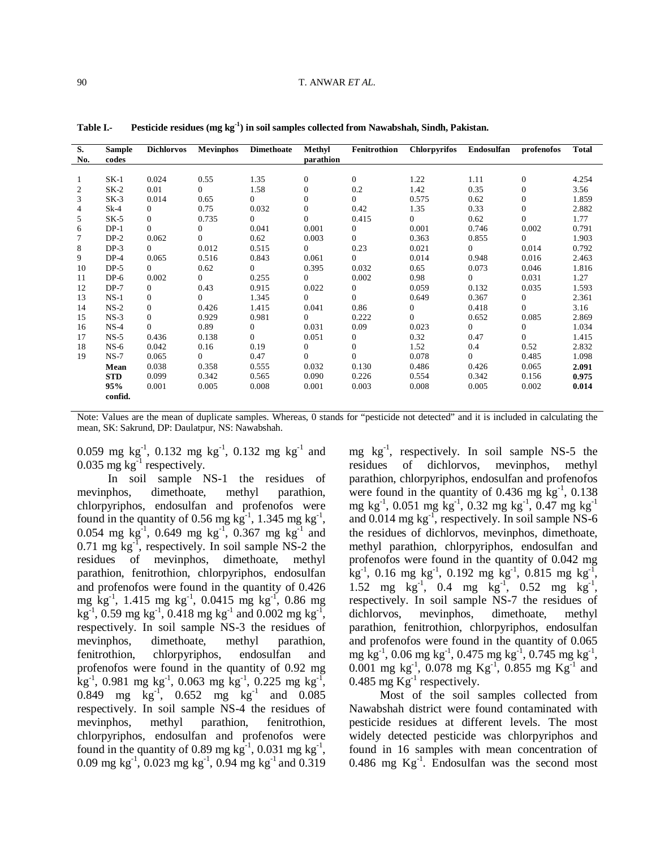| S.<br>No. | <b>Sample</b><br>codes | <b>Dichlorvos</b> | <b>Mevinphos</b> | <b>Dimethoate</b> | Methyl<br>parathion | Fenitrothion   | <b>Chlorpyrifos</b> | Endosulfan     | profenofos       | <b>Total</b> |
|-----------|------------------------|-------------------|------------------|-------------------|---------------------|----------------|---------------------|----------------|------------------|--------------|
|           |                        |                   |                  |                   |                     |                |                     |                |                  |              |
| 1         | $SK-1$                 | 0.024             | 0.55             | 1.35              | $\overline{0}$      | $\Omega$       | 1.22                | 1.11           | $\mathbf{0}$     | 4.254        |
| 2         | $SK-2$                 | 0.01              | $\Omega$         | 1.58              | $\overline{0}$      | 0.2            | 1.42                | 0.35           | $\mathbf{0}$     | 3.56         |
| 3         | $SK-3$                 | 0.014             | 0.65             | $\Omega$          | $\Omega$            | $\Omega$       | 0.575               | 0.62           | $\boldsymbol{0}$ | 1.859        |
| 4         | $Sk-4$                 | $\overline{0}$    | 0.75             | 0.032             | $\Omega$            | 0.42           | 1.35                | 0.33           | $\mathbf{0}$     | 2.882        |
| 5         | $SK-5$                 | $\overline{0}$    | 0.735            | $\Omega$          | $\Omega$            | 0.415          | $\Omega$            | 0.62           | $\mathbf{0}$     | 1.77         |
| 6         | $DP-1$                 | $\Omega$          | $\overline{0}$   | 0.041             | 0.001               | $\overline{0}$ | 0.001               | 0.746          | 0.002            | 0.791        |
|           | $DP-2$                 | 0.062             | $\Omega$         | 0.62              | 0.003               | $\Omega$       | 0.363               | 0.855          | $\Omega$         | 1.903        |
| 8         | $DP-3$                 | $\Omega$          | 0.012            | 0.515             | $\Omega$            | 0.23           | 0.021               | $\theta$       | 0.014            | 0.792        |
| 9         | $DP-4$                 | 0.065             | 0.516            | 0.843             | 0.061               | $\Omega$       | 0.014               | 0.948          | 0.016            | 2.463        |
| 10        | $DP-5$                 | $\Omega$          | 0.62             | $\Omega$          | 0.395               | 0.032          | 0.65                | 0.073          | 0.046            | 1.816        |
| 11        | $DP-6$                 | 0.002             | $\Omega$         | 0.255             | $\Omega$            | 0.002          | 0.98                | $\overline{0}$ | 0.031            | 1.27         |
| 12        | $DP-7$                 | $\overline{0}$    | 0.43             | 0.915             | 0.022               | 0              | 0.059               | 0.132          | 0.035            | 1.593        |
| 13        | $NS-1$                 | $\Omega$          | $\Omega$         | 1.345             | $\Omega$            | $\Omega$       | 0.649               | 0.367          | $\overline{0}$   | 2.361        |
| 14        | $NS-2$                 | $\overline{0}$    | 0.426            | 1.415             | 0.041               | 0.86           | $\mathbf{0}$        | 0.418          | $\Omega$         | 3.16         |
| 15        | $NS-3$                 | $\mathbf{0}$      | 0.929            | 0.981             | $\Omega$            | 0.222          | $\Omega$            | 0.652          | 0.085            | 2.869        |
| 16        | $NS-4$                 | $\Omega$          | 0.89             | $\mathbf{0}$      | 0.031               | 0.09           | 0.023               | $\overline{0}$ | $\mathbf{0}$     | 1.034        |
| 17        | $NS-5$                 | 0.436             | 0.138            | $\Omega$          | 0.051               | $\overline{0}$ | 0.32                | 0.47           | $\Omega$         | 1.415        |
| 18        | $NS-6$                 | 0.042             | 0.16             | 0.19              | $\overline{0}$      | $\Omega$       | 1.52                | 0.4            | 0.52             | 2.832        |
| 19        | $NS-7$                 | 0.065             | $\Omega$         | 0.47              | $\Omega$            | $\Omega$       | 0.078               | $\overline{0}$ | 0.485            | 1.098        |
|           | Mean                   | 0.038             | 0.358            | 0.555             | 0.032               | 0.130          | 0.486               | 0.426          | 0.065            | 2.091        |
|           | <b>STD</b>             | 0.099             | 0.342            | 0.565             | 0.090               | 0.226          | 0.554               | 0.342          | 0.156            | 0.975        |
|           | 95%                    | 0.001             | 0.005            | 0.008             | 0.001               | 0.003          | 0.008               | 0.005          | 0.002            | 0.014        |
|           | confid.                |                   |                  |                   |                     |                |                     |                |                  |              |

**Table I.- Pesticide residues (mg kg-1 ) in soil samples collected from Nawabshah, Sindh, Pakistan.**

Note: Values are the mean of duplicate samples. Whereas, 0 stands for "pesticide not detected" and it is included in calculating the mean, SK: Sakrund, DP: Daulatpur, NS: Nawabshah.

0.059 mg kg<sup>-1</sup>, 0.132 mg kg<sup>-1</sup>, 0.132 mg kg<sup>-1</sup> and 0.035 mg  $kg^{-1}$  respectively.

In soil sample NS-1 the residues of mevinphos, dimethoate, methyl parathion, chlorpyriphos, endosulfan and profenofos were found in the quantity of 0.56 mg  $kg^{-1}$ , 1.345 mg  $kg^{-1}$ , 0.054 mg kg<sup>-1</sup>, 0.649 mg kg<sup>-1</sup>, 0.367 mg kg<sup>-1</sup> and  $0.71$  mg kg<sup>-1</sup>, respectively. In soil sample NS-2 the residues of mevinphos, dimethoate, methyl parathion, fenitrothion, chlorpyriphos, endosulfan and profenofos were found in the quantity of 0.426 mg kg-1 , 1.415 mg kg-1 , 0.0415 mg kg-1 , 0.86 mg  $\text{kg}^{-1}$ , 0.59 mg kg<sup>-1</sup>, 0.418 mg kg<sup>-1</sup> and 0.002 mg kg<sup>-1</sup>, respectively. In soil sample NS-3 the residues of mevinphos, dimethoate, methyl parathion, fenitrothion, chlorpyriphos, endosulfan and profenofos were found in the quantity of 0.92 mg  $\text{kg}^{-1}$ , 0.981 mg kg<sup>-1</sup>, 0.063 mg kg<sup>-1</sup>, 0.225 mg kg<sup>-1</sup>, 0.849 mg  $\text{kg}^{-1}$ , 0.652 mg  $\text{kg}^{-1}$  and 0.085 respectively. In soil sample NS-4 the residues of mevinphos, methyl parathion, fenitrothion, chlorpyriphos, endosulfan and profenofos were found in the quantity of 0.89 mg  $kg^{-1}$ , 0.031 mg  $kg^{-1}$ , 0.09 mg kg<sup>-1</sup>, 0.023 mg kg<sup>-1</sup>, 0.94 mg kg<sup>-1</sup> and 0.319

mg kg-1 , respectively. In soil sample NS-5 the residues of dichlorvos, mevinphos, methyl parathion, chlorpyriphos, endosulfan and profenofos were found in the quantity of  $0.436$  mg  $\text{kg}^{-1}$ ,  $0.138$ mg kg-1 , 0.051 mg kg-1 , 0.32 mg kg-1 , 0.47 mg kg-1 and 0.014 mg kg<sup>-1</sup>, respectively. In soil sample NS-6 the residues of dichlorvos, mevinphos, dimethoate, methyl parathion, chlorpyriphos, endosulfan and profenofos were found in the quantity of 0.042 mg  $\text{kg}^{-1}$ , 0.16 mg kg<sup>-1</sup>, 0.192 mg kg<sup>-1</sup>, 0.815 mg kg<sup>-1</sup>, 1.52 mg kg<sup>-1</sup>, 0.4 mg kg<sup>-1</sup>, 0.52 mg kg<sup>-1</sup>, respectively. In soil sample NS-7 the residues of dichlorvos, mevinphos, dimethoate, methyl parathion, fenitrothion, chlorpyriphos, endosulfan and profenofos were found in the quantity of 0.065 mg kg<sup>-1</sup>, 0.06 mg kg<sup>-1</sup>, 0.475 mg kg<sup>-1</sup>, 0.745 mg kg<sup>-1</sup>, 0.001 mg kg<sup>-1</sup>, 0.078 mg Kg<sup>-1</sup>, 0.855 mg Kg<sup>-1</sup> and 0.485 mg  $\text{Kg}^{-1}$  respectively.

Most of the soil samples collected from Nawabshah district were found contaminated with pesticide residues at different levels. The most widely detected pesticide was chlorpyriphos and found in 16 samples with mean concentration of 0.486 mg  $Kg^{-1}$ . Endosulfan was the second most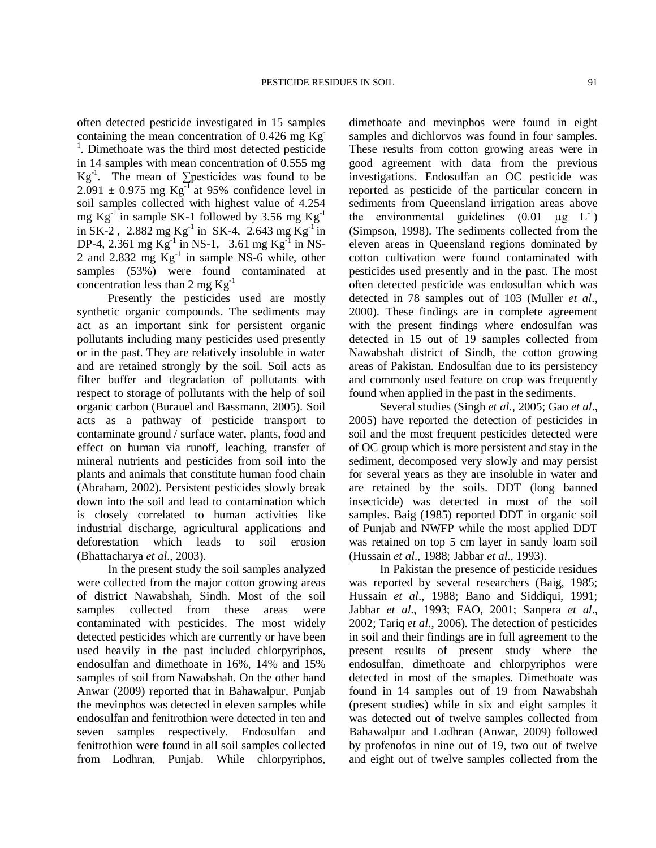often detected pesticide investigated in 15 samples containing the mean concentration of 0.426 mg Kg-<sup>1</sup>. Dimethoate was the third most detected pesticide in 14 samples with mean concentration of 0.555 mg  $Kg^{-1}$ . The mean of ∑pesticides was found to be  $2.091 \pm 0.975$  mg Kg<sup>-1</sup> at 95% confidence level in soil samples collected with highest value of 4.254 mg  $Kg^{-1}$  in sample SK-1 followed by 3.56 mg  $Kg^{-1}$ in SK-2, 2.882 mg Kg<sup>-1</sup> in SK-4, 2.643 mg Kg<sup>-1</sup> in DP-4, 2.361 mg  $Kg^{-1}$  in NS-1, 3.61 mg  $Kg^{-1}$  in NS-2 and 2.832 mg  $\text{Kg}^{-1}$  in sample NS-6 while, other samples (53%) were found contaminated at concentration less than 2 mg  $Kg^{-1}$ 

Presently the pesticides used are mostly synthetic organic compounds. The sediments may act as an important sink for persistent organic pollutants including many pesticides used presently or in the past. They are relatively insoluble in water and are retained strongly by the soil. Soil acts as filter buffer and degradation of pollutants with respect to storage of pollutants with the help of soil organic carbon (Burauel and Bassmann, 2005). Soil acts as a pathway of pesticide transport to contaminate ground / surface water, plants, food and effect on human via runoff, leaching, transfer of mineral nutrients and pesticides from soil into the plants and animals that constitute human food chain (Abraham, 2002). Persistent pesticides slowly break down into the soil and lead to contamination which is closely correlated to human activities like industrial discharge, agricultural applications and deforestation which leads to soil erosion (Bhattacharya *et al*., 2003).

In the present study the soil samples analyzed were collected from the major cotton growing areas of district Nawabshah, Sindh. Most of the soil samples collected from these areas were contaminated with pesticides. The most widely detected pesticides which are currently or have been used heavily in the past included chlorpyriphos, endosulfan and dimethoate in 16%, 14% and 15% samples of soil from Nawabshah. On the other hand Anwar (2009) reported that in Bahawalpur, Punjab the mevinphos was detected in eleven samples while endosulfan and fenitrothion were detected in ten and seven samples respectively. Endosulfan and fenitrothion were found in all soil samples collected from Lodhran, Punjab. While chlorpyriphos,

dimethoate and mevinphos were found in eight samples and dichlorvos was found in four samples. These results from cotton growing areas were in good agreement with data from the previous investigations. Endosulfan an OC pesticide was reported as pesticide of the particular concern in sediments from Queensland irrigation areas above the environmental guidelines  $(0.01 \text{ µg } L^{-1})$ (Simpson, 1998). The sediments collected from the eleven areas in Queensland regions dominated by cotton cultivation were found contaminated with pesticides used presently and in the past. The most often detected pesticide was endosulfan which was detected in 78 samples out of 103 (Muller *et al*., 2000). These findings are in complete agreement with the present findings where endosulfan was detected in 15 out of 19 samples collected from Nawabshah district of Sindh, the cotton growing areas of Pakistan. Endosulfan due to its persistency and commonly used feature on crop was frequently found when applied in the past in the sediments.

Several studies (Singh *et al*., 2005; Gao *et al*., 2005) have reported the detection of pesticides in soil and the most frequent pesticides detected were of OC group which is more persistent and stay in the sediment, decomposed very slowly and may persist for several years as they are insoluble in water and are retained by the soils. DDT (long banned insecticide) was detected in most of the soil samples. Baig (1985) reported DDT in organic soil of Punjab and NWFP while the most applied DDT was retained on top 5 cm layer in sandy loam soil (Hussain *et al*., 1988; Jabbar *et al*., 1993).

In Pakistan the presence of pesticide residues was reported by several researchers (Baig, 1985; Hussain *et al*., 1988; Bano and Siddiqui, 1991; Jabbar *et al*., 1993; FAO, 2001; Sanpera *et al*., 2002; Tariq *et al*., 2006). The detection of pesticides in soil and their findings are in full agreement to the present results of present study where the endosulfan, dimethoate and chlorpyriphos were detected in most of the smaples. Dimethoate was found in 14 samples out of 19 from Nawabshah (present studies) while in six and eight samples it was detected out of twelve samples collected from Bahawalpur and Lodhran (Anwar, 2009) followed by profenofos in nine out of 19, two out of twelve and eight out of twelve samples collected from the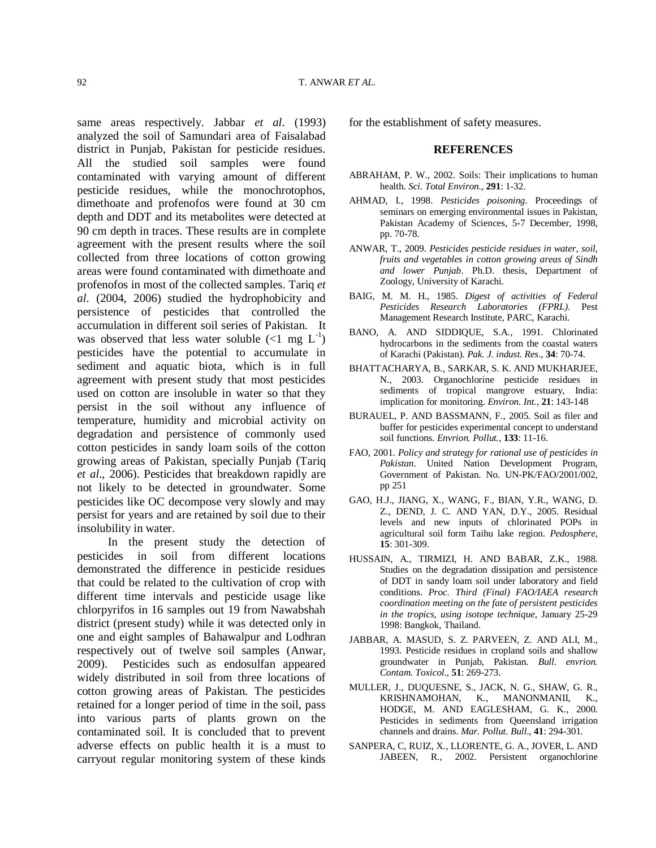same areas respectively. Jabbar *et al*. (1993) analyzed the soil of Samundari area of Faisalabad district in Punjab, Pakistan for pesticide residues. All the studied soil samples were found contaminated with varying amount of different pesticide residues, while the monochrotophos, dimethoate and profenofos were found at 30 cm depth and DDT and its metabolites were detected at 90 cm depth in traces. These results are in complete agreement with the present results where the soil collected from three locations of cotton growing areas were found contaminated with dimethoate and profenofos in most of the collected samples. Tariq *et al*. (2004, 2006) studied the hydrophobicity and persistence of pesticides that controlled the accumulation in different soil series of Pakistan. It was observed that less water soluble  $\left($ <1 mg  $\text{L}^{-1}\right)$ pesticides have the potential to accumulate in sediment and aquatic biota, which is in full agreement with present study that most pesticides used on cotton are insoluble in water so that they persist in the soil without any influence of temperature, humidity and microbial activity on degradation and persistence of commonly used cotton pesticides in sandy loam soils of the cotton growing areas of Pakistan, specially Punjab (Tariq *et al*., 2006). Pesticides that breakdown rapidly are not likely to be detected in groundwater. Some pesticides like OC decompose very slowly and may persist for years and are retained by soil due to their insolubility in water.

In the present study the detection of pesticides in soil from different locations demonstrated the difference in pesticide residues that could be related to the cultivation of crop with different time intervals and pesticide usage like chlorpyrifos in 16 samples out 19 from Nawabshah district (present study) while it was detected only in one and eight samples of Bahawalpur and Lodhran respectively out of twelve soil samples (Anwar, 2009). Pesticides such as endosulfan appeared widely distributed in soil from three locations of cotton growing areas of Pakistan. The pesticides retained for a longer period of time in the soil, pass into various parts of plants grown on the contaminated soil. It is concluded that to prevent adverse effects on public health it is a must to carryout regular monitoring system of these kinds for the establishment of safety measures.

#### **REFERENCES**

- ABRAHAM, P. W., 2002. Soils: Their implications to human health. *Sci. Total Environ.,* **291**: 1-32.
- AHMAD, I., 1998. *Pesticides poisoning*. Proceedings of seminars on emerging environmental issues in Pakistan, Pakistan Academy of Sciences, 5-7 December, 1998, pp. 70-78.
- ANWAR, T., 2009. *Pesticides pesticide residues in water, soil, fruits and vegetables in cotton growing areas of Sindh and lower Punjab*. Ph.D. thesis, Department of Zoology, University of Karachi.
- BAIG, M. M. H., 1985. *Digest of activities of Federal Pesticides Research Laboratories (FPRL)*. Pest Management Research Institute, PARC, Karachi.
- BANO, A. AND SIDDIQUE, S.A., 1991. Chlorinated hydrocarbons in the sediments from the coastal waters of Karachi (Pakistan). *Pak. J. indust. Res*., **34**: 70-74.
- BHATTACHARYA, B., SARKAR, S. K. AND MUKHARJEE, N., 2003. Organochlorine pesticide residues in sediments of tropical mangrove estuary, India: implication for monitoring. *Environ. Int.*, **21**: 143-148
- BURAUEL, P. AND BASSMANN, F., 2005. Soil as filer and buffer for pesticides experimental concept to understand soil functions. *Envrion. Pollut.*, **133**: 11-16.
- FAO, 2001. *Policy and strategy for rational use of pesticides in Pakistan*. United Nation Development Program, Government of Pakistan. No. UN-PK/FAO/2001/002, pp 251
- GAO, H.J., JIANG, X., WANG, F., BIAN, Y.R., WANG, D. Z., DEND, J. C. AND YAN, D.Y., 2005. Residual levels and new inputs of chlorinated POPs in agricultural soil form Taihu lake region. *Pedosphere*, **15**: 301-309.
- HUSSAIN, A., TIRMIZI, H. AND BABAR, Z.K., 1988. Studies on the degradation dissipation and persistence of DDT in sandy loam soil under laboratory and field conditions. *Proc. Third (Final) FAO/IAEA research coordination meeting on the fate of persistent pesticides in the tropics, using isotope technique*, January 25-29 1998: Bangkok, Thailand.
- JABBAR, A. MASUD, S. Z. PARVEEN, Z. AND ALI, M., 1993. Pesticide residues in cropland soils and shallow groundwater in Punjab, Pakistan. *Bull. envrion. Contam. Toxicol*., **51**: 269-273.
- MULLER, J., DUQUESNE, S., JACK, N. G., SHAW, G. R., KRISHNAMOHAN, K., MANONMANII, K., HODGE, M. AND EAGLESHAM, G. K., 2000. Pesticides in sediments from Queensland irrigation channels and drains. *Mar. Pollut. Bull*., **41**: 294-301.
- SANPERA, C, RUIZ, X., LLORENTE, G. A., JOVER, L. AND JABEEN, R., 2002. Persistent organochlorine